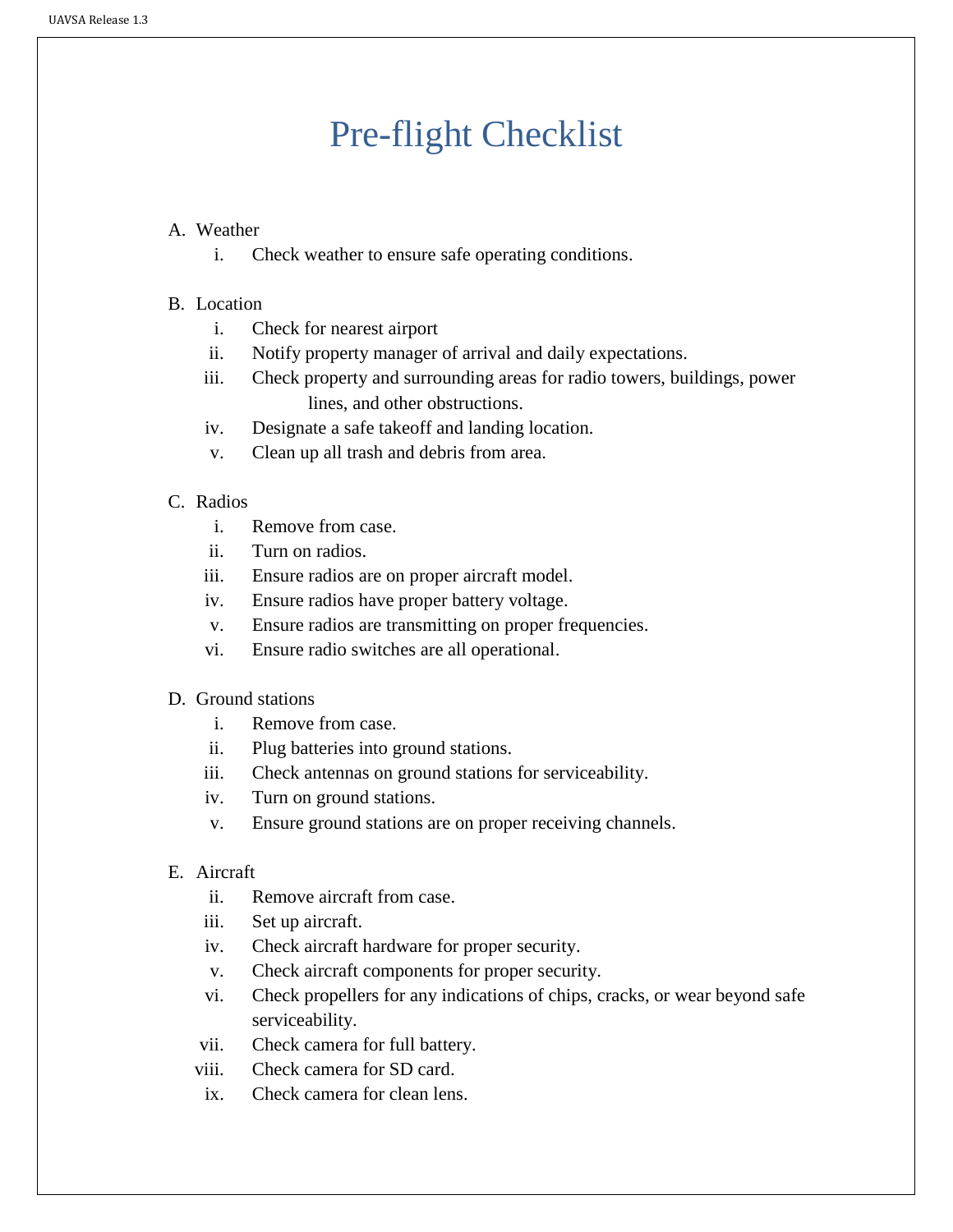## Pre-flight Checklist

## A. Weather

i. Check weather to ensure safe operating conditions.

## B. Location

- i. Check for nearest airport
- ii. Notify property manager of arrival and daily expectations.
- iii. Check property and surrounding areas for radio towers, buildings, power lines, and other obstructions.
- iv. Designate a safe takeoff and landing location.
- v. Clean up all trash and debris from area.
- C. Radios
	- i. Remove from case.
	- ii. Turn on radios.
	- iii. Ensure radios are on proper aircraft model.
	- iv. Ensure radios have proper battery voltage.
	- v. Ensure radios are transmitting on proper frequencies.
	- vi. Ensure radio switches are all operational.

## D. Ground stations

- i. Remove from case.
- ii. Plug batteries into ground stations.
- iii. Check antennas on ground stations for serviceability.
- iv. Turn on ground stations.
- v. Ensure ground stations are on proper receiving channels.
- E. Aircraft
	- ii. Remove aircraft from case.
	- iii. Set up aircraft.
	- iv. Check aircraft hardware for proper security.
	- v. Check aircraft components for proper security.
	- vi. Check propellers for any indications of chips, cracks, or wear beyond safe serviceability.
	- vii. Check camera for full battery.
	- viii. Check camera for SD card.
	- ix. Check camera for clean lens.